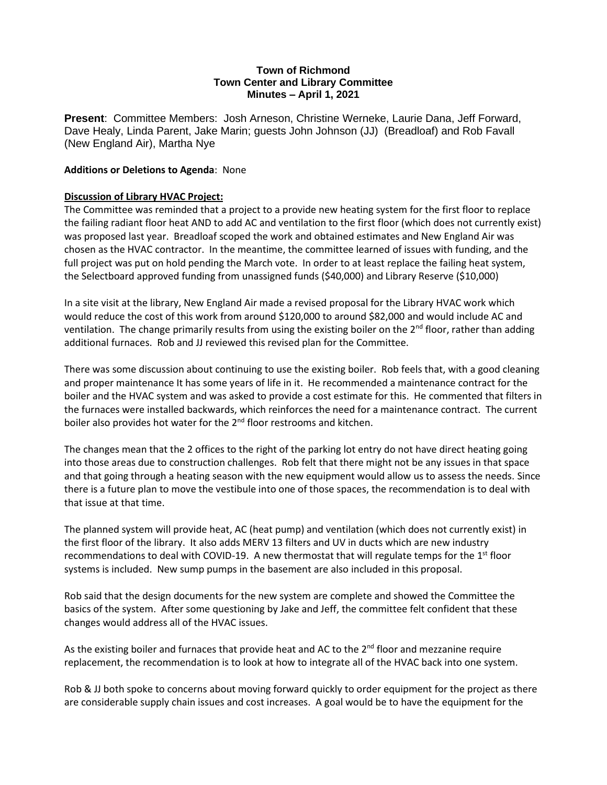#### **Town of Richmond Town Center and Library Committee Minutes – April 1, 2021**

**Present**: Committee Members: Josh Arneson, Christine Werneke, Laurie Dana, Jeff Forward, Dave Healy, Linda Parent, Jake Marin; guests John Johnson (JJ) (Breadloaf) and Rob Favall (New England Air), Martha Nye

#### **Additions or Deletions to Agenda**: None

#### **Discussion of Library HVAC Project:**

The Committee was reminded that a project to a provide new heating system for the first floor to replace the failing radiant floor heat AND to add AC and ventilation to the first floor (which does not currently exist) was proposed last year. Breadloaf scoped the work and obtained estimates and New England Air was chosen as the HVAC contractor. In the meantime, the committee learned of issues with funding, and the full project was put on hold pending the March vote. In order to at least replace the failing heat system, the Selectboard approved funding from unassigned funds (\$40,000) and Library Reserve (\$10,000)

In a site visit at the library, New England Air made a revised proposal for the Library HVAC work which would reduce the cost of this work from around \$120,000 to around \$82,000 and would include AC and ventilation. The change primarily results from using the existing boiler on the  $2<sup>nd</sup>$  floor, rather than adding additional furnaces. Rob and JJ reviewed this revised plan for the Committee.

There was some discussion about continuing to use the existing boiler. Rob feels that, with a good cleaning and proper maintenance It has some years of life in it. He recommended a maintenance contract for the boiler and the HVAC system and was asked to provide a cost estimate for this. He commented that filters in the furnaces were installed backwards, which reinforces the need for a maintenance contract. The current boiler also provides hot water for the  $2<sup>nd</sup>$  floor restrooms and kitchen.

The changes mean that the 2 offices to the right of the parking lot entry do not have direct heating going into those areas due to construction challenges. Rob felt that there might not be any issues in that space and that going through a heating season with the new equipment would allow us to assess the needs. Since there is a future plan to move the vestibule into one of those spaces, the recommendation is to deal with that issue at that time.

The planned system will provide heat, AC (heat pump) and ventilation (which does not currently exist) in the first floor of the library. It also adds MERV 13 filters and UV in ducts which are new industry recommendations to deal with COVID-19. A new thermostat that will regulate temps for the 1<sup>st</sup> floor systems is included. New sump pumps in the basement are also included in this proposal.

Rob said that the design documents for the new system are complete and showed the Committee the basics of the system. After some questioning by Jake and Jeff, the committee felt confident that these changes would address all of the HVAC issues.

As the existing boiler and furnaces that provide heat and AC to the  $2<sup>nd</sup>$  floor and mezzanine require replacement, the recommendation is to look at how to integrate all of the HVAC back into one system.

Rob & JJ both spoke to concerns about moving forward quickly to order equipment for the project as there are considerable supply chain issues and cost increases. A goal would be to have the equipment for the